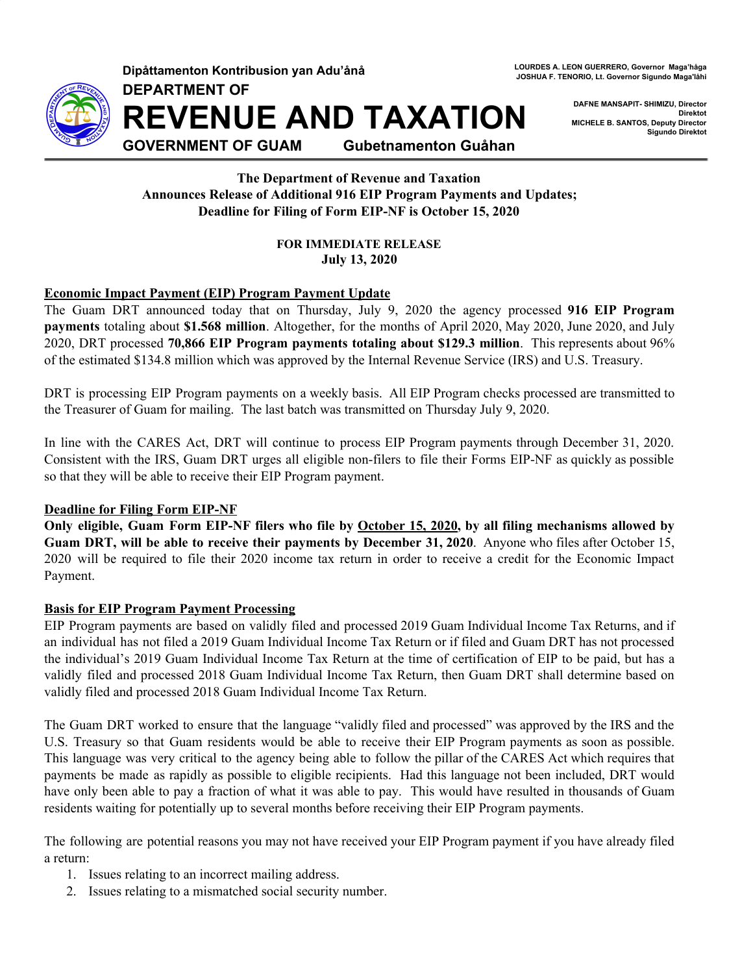

**Dipåttamenton Kontribusion yan Adu'ånå**

**DEPARTMENT OF**

**REVENUE AND TAXATION**

**LOURDES A. LEON GUERRERO, Governor Maga'håga JOSHUA F. TENORIO, Lt. Governor Sigundo Maga'låhi**

> **DAFNE MANSAPIT- SHIMIZU, Director Direktot MICHELE B. SANTOS, Deputy Director Sigundo Direktot**

**GOVERNMENT OF GUAM Gubetnamenton Guåhan**

**The Department of Revenue and Taxation Announces Release of Additional 916 EIP Program Payments and Updates; Deadline for Filing of Form EIP-NF is October 15, 2020**

> **FOR IMMEDIATE RELEASE July 13, 2020**

## **Economic Impact Payment (EIP) Program Payment Update**

The Guam DRT announced today that on Thursday, July 9, 2020 the agency processed **916 EIP Program payments** totaling about **\$1.568 million**. Altogether, for the months of April 2020, May 2020, June 2020, and July 2020, DRT processed **70,866 EIP Program payments totaling about \$129.3 million**. This represents about 96% of the estimated \$134.8 million which was approved by the Internal Revenue Service (IRS) and U.S. Treasury.

DRT is processing EIP Program payments on a weekly basis. All EIP Program checks processed are transmitted to the Treasurer of Guam for mailing. The last batch was transmitted on Thursday July 9, 2020.

In line with the CARES Act, DRT will continue to process EIP Program payments through December 31, 2020. Consistent with the IRS, Guam DRT urges all eligible non-filers to file their Forms EIP-NF as quickly as possible so that they will be able to receive their EIP Program payment.

# **Deadline for Filing Form EIP-NF**

Only eligible, Guam Form EIP-NF filers who file by October 15, 2020, by all filing mechanisms allowed by **Guam DRT, will be able to receive their payments by December 31, 2020**. Anyone who files after October 15, 2020 will be required to file their 2020 income tax return in order to receive a credit for the Economic Impact Payment.

## **Basis for EIP Program Payment Processing**

EIP Program payments are based on validly filed and processed 2019 Guam Individual Income Tax Returns, and if an individual has not filed a 2019 Guam Individual Income Tax Return or if filed and Guam DRT has not processed the individual's 2019 Guam Individual Income Tax Return at the time of certification of EIP to be paid, but has a validly filed and processed 2018 Guam Individual Income Tax Return, then Guam DRT shall determine based on validly filed and processed 2018 Guam Individual Income Tax Return.

The Guam DRT worked to ensure that the language "validly filed and processed" was approved by the IRS and the U.S. Treasury so that Guam residents would be able to receive their EIP Program payments as soon as possible. This language was very critical to the agency being able to follow the pillar of the CARES Act which requires that payments be made as rapidly as possible to eligible recipients. Had this language not been included, DRT would have only been able to pay a fraction of what it was able to pay. This would have resulted in thousands of Guam residents waiting for potentially up to several months before receiving their EIP Program payments.

The following are potential reasons you may not have received your EIP Program payment if you have already filed a return:

- 1. Issues relating to an incorrect mailing address.
- 2. Issues relating to a mismatched social security number.